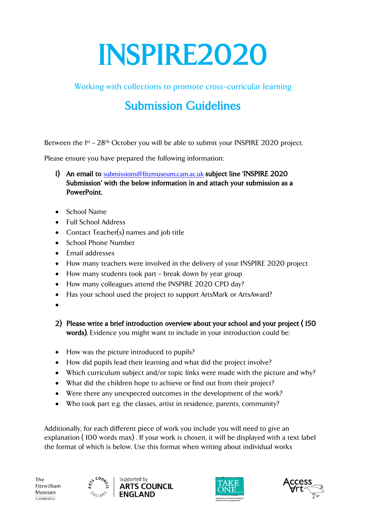# INSPIRE2020

Working with collections to promote cross-curricular learning

## Submission Guidelines

Between the <sup>1st</sup> - 28<sup>th</sup> October you will be able to submit your INSPIRE 2020 project.

Please ensure you have prepared the following information:

- 1) An email to [submissions@fitzmuseum.cam.ac.uk](mailto:submissions@fitzmuseum.cam.ac.uk) subject line 'INSPIRE 2020 Submission' with the below information in and attach your submission as a PowerPoint.
- School Name
- Full School Address
- Contact Teacher(s) names and job title
- School Phone Number
- Email addresses
- How many teachers were involved in the delivery of your INSPIRE 2020 project
- How many students took part break down by year group
- How many colleagues attend the INSPIRE 2020 CPD day?
- Has your school used the project to support ArtsMark or ArtsAward?
- $\bullet$
- 2) Please write a brief introduction overview about your school and your project ( 150 words). Evidence you might want to include in your introduction could be:
- How was the picture introduced to pupils?
- How did pupils lead their learning and what did the project involve?
- Which curriculum subject and/or topic links were made with the picture and why?
- What did the children hope to achieve or find out from their project?
- Were there any unexpected outcomes in the development of the work?
- Who took part e.g. the classes, artist in residence, parents, community?

Additionally, for each different piece of work you include you will need to give an explanation ( 100 words max) . If your work is chosen, it will be displayed with a text label the format of which is below. Use this format when writing about individual works